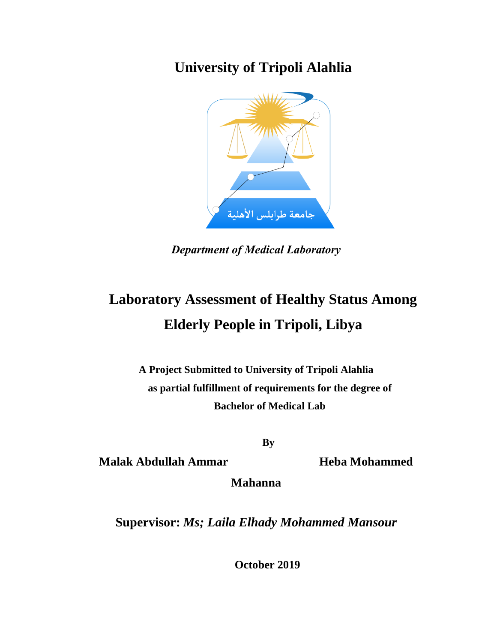**University of Tripoli Alahlia**



*Department of Medical Laboratory*

## **Laboratory Assessment of Healthy Status Among Elderly People in Tripoli, Libya**

**A Project Submitted to University of Tripoli Alahlia as partial fulfillment of requirements for the degree of Bachelor of Medical Lab**

**By**

**Malak Abdullah Ammar Heba Mohammed** 

**Mahanna**

**Supervisor:** *Ms; Laila Elhady Mohammed Mansour*

 **October 2019**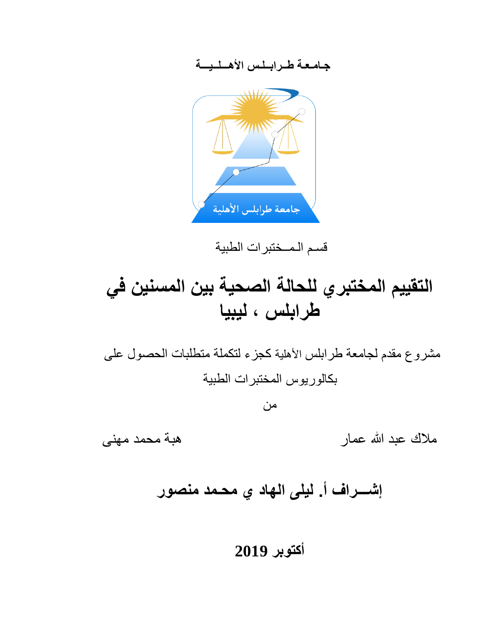**جـامـعـة طــرابــلـس األهـــلــيـــة**



قسـم الـمــختبرات الطبية

# **التقييم المختبري للحالة الصحية بين المسنين في طرابلس ، ليبيا**

مشروع مقدم لجامعة طرابلس الأهلية كجزء لتكملة متطلبات الحصول علىي بكالوريوس المختبرات الطبية

من

مالك عبد هللا عمار هبة محمد مهنى

**إشـــراف أ. ليلى الهاد ي محـمد منصور**

**أكتوبر 2019**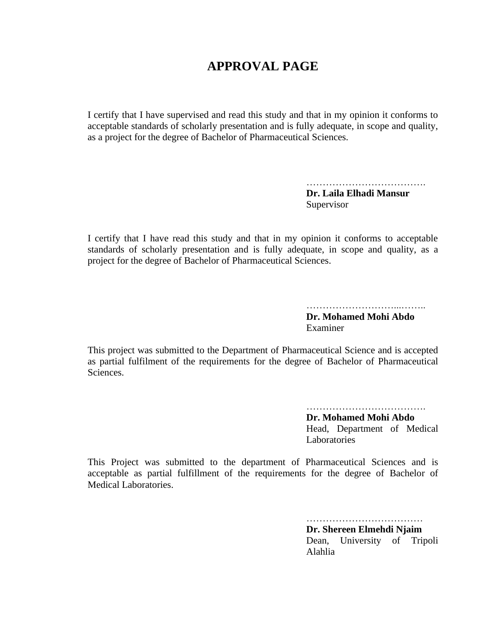## **APPROVAL PAGE**

I certify that I have supervised and read this study and that in my opinion it conforms to acceptable standards of scholarly presentation and is fully adequate, in scope and quality, as a project for the degree of Bachelor of Pharmaceutical Sciences.

> ………………………………. **Dr. Laila Elhadi Mansur** Supervisor

I certify that I have read this study and that in my opinion it conforms to acceptable standards of scholarly presentation and is fully adequate, in scope and quality, as a project for the degree of Bachelor of Pharmaceutical Sciences.

> ………………………...…….. **Dr. Mohamed Mohi Abdo** Examiner

This project was submitted to the Department of Pharmaceutical Science and is accepted as partial fulfilment of the requirements for the degree of Bachelor of Pharmaceutical Sciences.

> ………………………………. **Dr. Mohamed Mohi Abdo** Head, Department of Medical Laboratories

This Project was submitted to the department of Pharmaceutical Sciences and is acceptable as partial fulfillment of the requirements for the degree of Bachelor of Medical Laboratories.

> ………………………………………… **Dr. Shereen Elmehdi Njaim** Dean, University of Tripoli Alahlia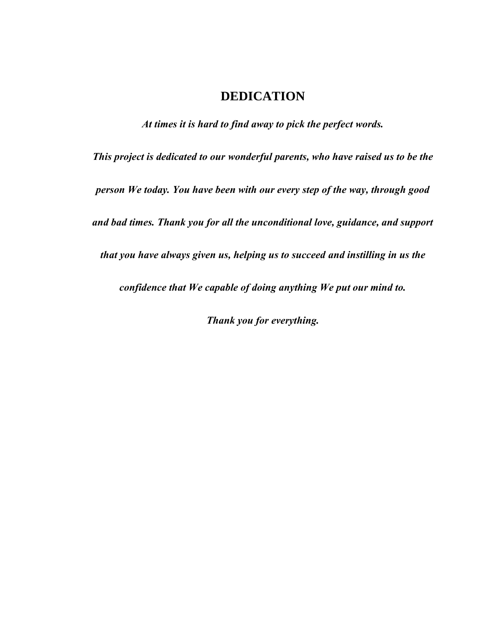#### **DEDICATION**

*At times it is hard to find away to pick the perfect words.*

*This project is dedicated to our wonderful parents, who have raised us to be the person We today. You have been with our every step of the way, through good and bad times. Thank you for all the unconditional love, guidance, and support that you have always given us, helping us to succeed and instilling in us the*

*confidence that We capable of doing anything We put our mind to.* 

*Thank you for everything.*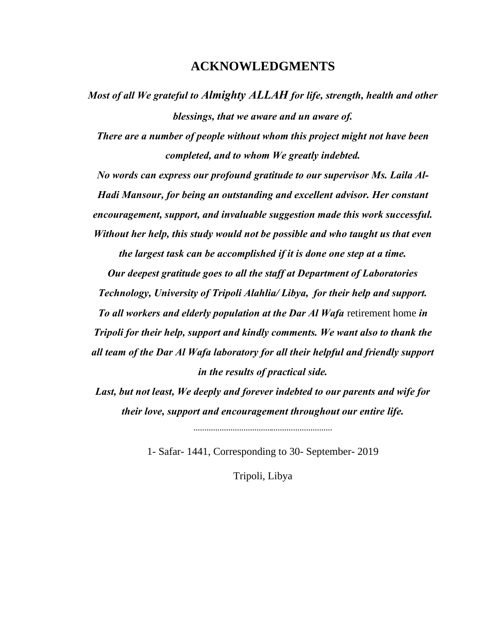#### **ACKNOWLEDGMENTS**

*Most of all We grateful to Almighty ALLAH for life, strength, health and other blessings, that we aware and un aware of.*

*There are a number of people without whom this project might not have been completed, and to whom We greatly indebted.*

*No words can express our profound gratitude to our supervisor Ms. Laila Al-Hadi Mansour, for being an outstanding and excellent advisor. Her constant encouragement, support, and invaluable suggestion made this work successful. Without her help, this study would not be possible and who taught us that even* 

*the largest task can be accomplished if it is done one step at a time. Our deepest gratitude goes to all the staff at Department of Laboratories Technology, University of Tripoli Alahlia/ Libya, for their help and support. To all workers and elderly population at the Dar Al Wafa* retirement home *in Tripoli for their help, support and kindly comments. We want also to thank the all team of the Dar Al Wafa laboratory for all their helpful and friendly support in the results of practical side.*

*Last, but not least, We deeply and forever indebted to our parents and wife for their love, support and encouragement throughout our entire life.*

*……………………………….………………………*

1- Safar- 1441, Corresponding to 30- September- 2019

Tripoli, Libya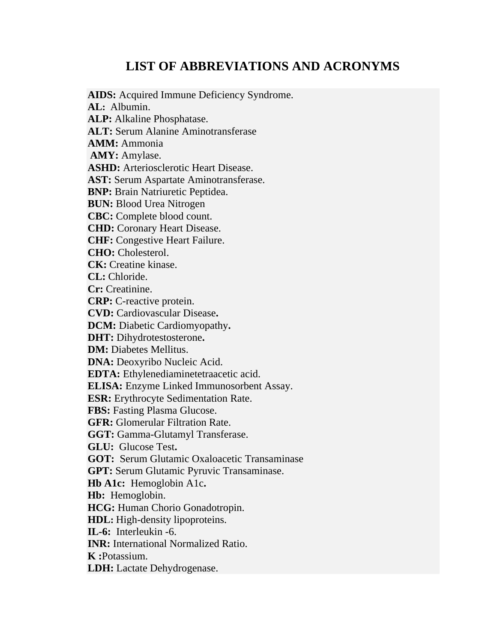## **LIST OF ABBREVIATIONS AND ACRONYMS**

**AIDS:** Acquired Immune Deficiency Syndrome. **AL:** Albumin. **ALP:** Alkaline Phosphatase. **ALT:** Serum Alanine Aminotransferase **AMM:** Ammonia **AMY:** Amylase. **ASHD:** Arteriosclerotic Heart Disease. **AST:** Serum Aspartate Aminotransferase. **BNP:** Brain Natriuretic Peptidea. **BUN:** Blood Urea Nitrogen **CBC:** Complete blood count. **CHD:** Coronary Heart Disease. **CHF:** Congestive Heart Failure. **CHO:** Cholesterol. **CK:** Creatine kinase. **CL:** Chloride. **Cr:** Creatinine. **CRP:** C-reactive protein. **CVD:** Cardiovascular Disease**. DCM:** Diabetic Cardiomyopathy**. DHT:** Dihydrotestosterone**. DM:** Diabetes Mellitus. **DNA:** Deoxyribo Nucleic Acid. **EDTA:** Ethylenediaminetetraacetic acid. **ELISA:** Enzyme Linked Immunosorbent Assay. **ESR:** Erythrocyte Sedimentation Rate. **FBS:** Fasting Plasma Glucose. **GFR:** Glomerular Filtration Rate. **GGT:** Gamma-Glutamyl Transferase. **GLU:** Glucose Test**. GOT:** Serum Glutamic Oxaloacetic Transaminase **GPT:** Serum Glutamic Pyruvic Transaminase. **Hb A1c:** Hemoglobin A1c**. Hb:** Hemoglobin. **HCG:** Human Chorio Gonadotropin. **HDL:** High-density lipoproteins. **IL-6:** Interleukin -6. **INR:** International Normalized Ratio. **K :**Potassium. **LDH:** Lactate Dehydrogenase.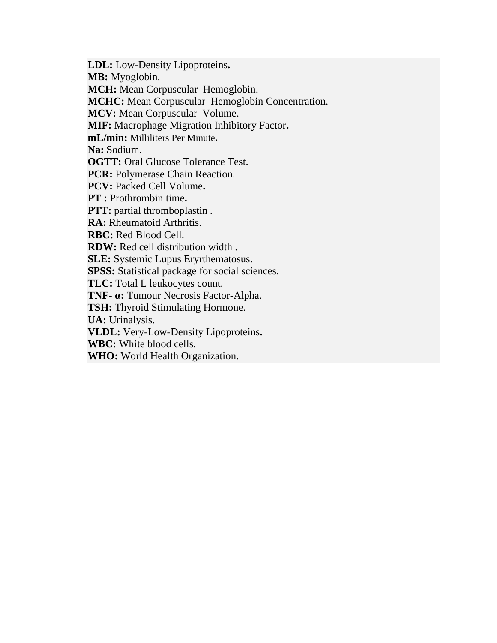**LDL:** Low-Density Lipoproteins**. MB:** Myoglobin. **MCH:** Mean Corpuscular Hemoglobin. **MCHC:** Mean Corpuscular Hemoglobin Concentration. **MCV:** Mean Corpuscular Volume. **MIF:** Macrophage Migration Inhibitory Factor**. mL/min:** Milliliters Per Minute**. Na:** Sodium. **OGTT:** Oral Glucose Tolerance Test. **PCR:** Polymerase Chain Reaction. **PCV:** Packed Cell Volume**. PT :** Prothrombin time**. PTT:** partial thromboplastin . **RA:** Rheumatoid Arthritis. **RBC:** Red Blood Cell. **RDW:** Red cell distribution width . **SLE:** Systemic Lupus Eryrthematosus. **SPSS:** Statistical package for social sciences. **TLC:** Total L leukocytes count. **TNF- α:** Tumour Necrosis Factor-Alpha. **TSH:** Thyroid Stimulating Hormone. **UA:** Urinalysis. **VLDL:** Very-Low-Density Lipoproteins**. WBC:** White blood cells. **WHO:** World Health Organization.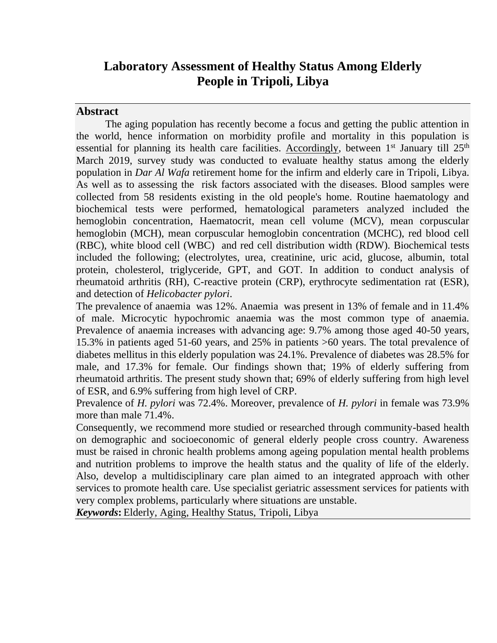## **Laboratory Assessment of Healthy Status Among Elderly People in Tripoli, Libya**

#### **Abstract**

The aging population has recently become a focus and getting the public attention in the world, hence information on morbidity profile and mortality in this population is essential for planning its health care facilities. [Accordingly,](http://paperrater.com/vocab_builder/show/accordingly) between  $1<sup>st</sup>$  January till  $25<sup>th</sup>$ March 2019, survey study was conducted to evaluate healthy status among the elderly population in *Dar Al Wafa* retirement home for the infirm and elderly care in Tripoli, Libya. As well as to assessing the risk factors associated with the diseases. Blood samples were collected from 58 residents existing in the old people's home. Routine haematology and biochemical tests were performed, hematological parameters analyzed included the hemoglobin concentration, Haematocrit, mean cell volume (MCV), mean corpuscular hemoglobin (MCH), mean corpuscular hemoglobin concentration (MCHC), red blood cell (RBC), white blood cell (WBC) and red cell distribution width (RDW). Biochemical tests included the following; (electrolytes, urea, creatinine, uric acid, glucose, albumin, total protein, cholesterol, triglyceride, GPT, and GOT. In addition to conduct analysis of rheumatoid arthritis (RH), C-reactive protein (CRP), erythrocyte sedimentation rat (ESR), and detection of *Helicobacter pylori*.

The prevalence of anaemia was 12%. Anaemia was present in 13% of female and in 11.4% of male. Microcytic hypochromic anaemia was the most common type of anaemia. Prevalence of anaemia increases with advancing age: 9.7% among those aged 40-50 years, 15.3% in patients aged 51-60 years, and 25% in patients >60 years. The total prevalence of diabetes mellitus in this elderly population was 24.1%. Prevalence of diabetes was 28.5% for male, and 17.3% for female. Our findings shown that; 19% of elderly suffering from rheumatoid arthritis. The present study shown that; 69% of elderly suffering from high level of ESR, and 6.9% suffering from high level of CRP.

Prevalence of *H. pylori* was 72.4%. Moreover, prevalence of *H. pylori* in female was 73.9% more than male 71.4%.

Consequently, we recommend more studied or researched through community-based health on demographic and socioeconomic of general elderly people cross country. Awareness must be raised in chronic health problems among ageing population mental health problems and nutrition problems to improve the health status and the quality of life of the elderly. Also, develop a multidisciplinary care plan aimed to an integrated approach with other services to promote health care. Use specialist geriatric assessment services for patients with very complex problems, particularly where situations are unstable.

*Keywords***:** Elderly, Aging, Healthy Status, Tripoli, Libya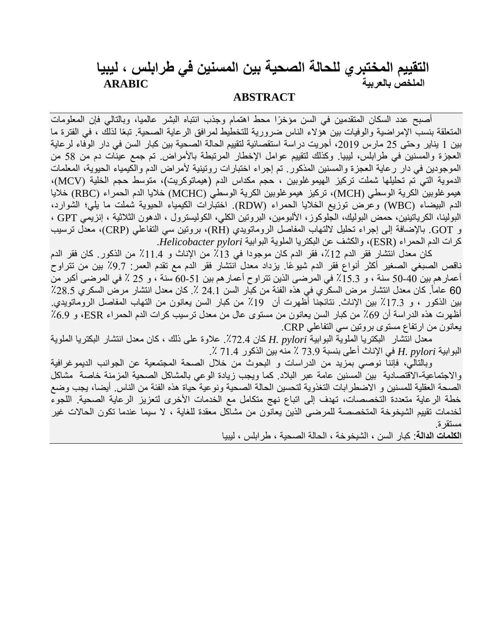## **التقييم المختبري للحالة الصحية بين المسنين في طرابلس ، ليبيا الملخص بالعربية ARABIC**

#### **ABSTRACT**

أصبح عدد السكان المتقدمين في السن مؤخرًا محط اهتمام وجذب انتباه البشر عالميا، وبالتالي فإن المعلومات المتعلقة بنسب اإلمراضية والوفيات بين هؤالء الناس ضرورية للتخطيط لمرافق الرعاية الصحية. تبعًا لذلك ، في الفترة ما بين 1 يناير وحتى 25 مارس 2019، أجريت دراسة استقصائية لتقييم الحالة الصحية بين كبار السن في دار الوفاء لرعاية العجزة والمسنين في طرابلس، ليبيا. وكذلك لتقييم عوامل الإخطار المرتبطة بالأمراض. تم جمع عينات دم من 58 من الموجودين في دار رعاية العجزة والمسنين المذكور. تم إجراء اختبارات روتينية ألمراض الدم والكيمياء الحيوية، المعلمات الدموية التي تم تحليلها شملت تركيز الهيموغلوبين ، حجم مكداس الدم (هيماتوكريت)، متوسط حجم الخلية (MCV)، هيموغلوبين الكرية الوسطي )MCH)، تركيز هيموغلوبين الكرية الوسطي )MCHC )خاليا الدم الحمراء )RBC )خاليا الدم البيضاء )WBC )وعرض توزيع الخاليا الحمراء )RDW). اختبارات الكيمياء الحيوية شملت ما يلي؛ الشوارد، البولينا، الكرياتينين، حمض البوليك، الجلوكوز، األلبومين، البروتين الكلي، الكوليسترول ، الدهون الثالثية ، إنزيمي GPT ، و GOT. باإلضافة إلى إجراء تحليل اللتهاب المفاصل الروماتويدي )RH)، بروتين سي التفاعلي )CRP)، معدل ترسيب كرات الدم الحمراء (ESR)، والكشف عن البكتريا الملوية البوابية *pylori Helicobacter*.

كان معدل انتشار فقر الدم 12٪، فقر الدم كان موجودا في 13٪ من الإناث و 11.4٪ من الذكور. كان فقر الدم ناقص الصبغي الصغير أكثر أنواع فقر الدم شيو ًعا. يزداد معدل انتشار فقر الدم مع تقدم العمر: ٪9.7 بين من تتراوح أعمارهم بين 50-40 سنة ، و ٪15.3 في المرضى الذين تتراوح أعمارهم بين 60-51 سنة ، و 25 ٪ في المرضى أكبر من 60 عاما.ً كان معدل انتشار مرض السكري في هذه الفئة من كبار السن 24.1 .٪ كان معدل انتشار مرض السكري ٪28.5 بين الذكور ، و ٪17.3 بين اإلناث. نتائجنا أظهرت أن ٪19 من كبار السن يعانون من التهاب المفاصل الروماتويدي. أظهرت هذه الدراسة أن 69٪ من كبار السن يعانون من مستوى عال من معدل ترسيب كرات الدم الحمراء ESR، و 6.9٪ يعانون من ارتفاع مستوى بروتين سي التفاعلي CRP.

معدل انتشار البكتريا الملوية البوابية *pylori .H* كان .٪72.4 عالوة على ذلك ، كان معدل انتشار البكتريا الملوية البوابية *pylori .H* في اإلناث أعلى بنسبة 73.9 ٪ منه بين الذكور 71.4 .٪

وبالتالي، فإننا نوصي بمزيد من الدراسات و البحوث من خالل الصحة المجتمعية عن الجوانب الديموغرافية والاجتماعية-الاقتصادية بين المسنين عامة عبر البلاد. كما ويجب زيادة الوعي بالمشاكل الصحية المزمنة خاصة مشاكل الصحة العقلية للمسنين و االضطرابات التغذوية لتحسين الحالة الصحية ونوعية حياة هذه الفئة من الناس. أيضا، يجب وضع خطة الرعاية متعددة التخصصات، تهدف إلى اتباع نهج متكامل مع الخدمات الأخرى لتعزيز الرعاية الصحية. اللجوء لخدمات تقييم الشيخوخة المتخصصة للمرضى الذين يعانون من مشاكل معقدة للغاية ، ال سيما عندما تكون الحاالت غير مستقرة.

**الكلمات الدالة**: كبار السن ، الشيخوخة ، الحالة الصحية ، طرابلس ، ليبيا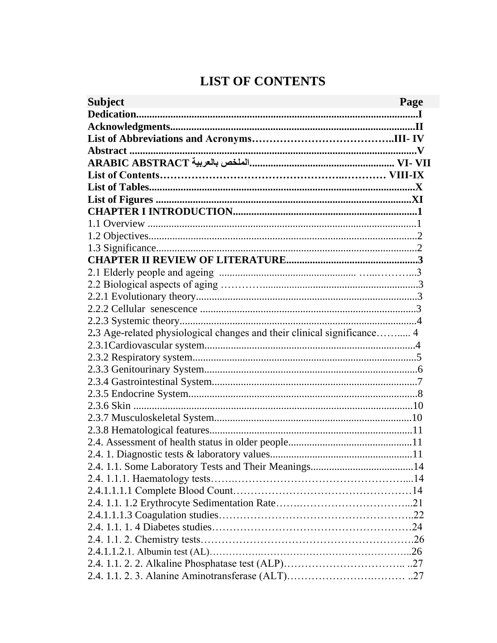## **LIST OF CONTENTS**

| <b>Subject</b><br>Page                                                  |
|-------------------------------------------------------------------------|
|                                                                         |
|                                                                         |
|                                                                         |
|                                                                         |
|                                                                         |
|                                                                         |
|                                                                         |
|                                                                         |
|                                                                         |
|                                                                         |
|                                                                         |
|                                                                         |
|                                                                         |
|                                                                         |
|                                                                         |
|                                                                         |
|                                                                         |
|                                                                         |
| 2.3 Age-related physiological changes and their clinical significance 4 |
|                                                                         |
|                                                                         |
|                                                                         |
|                                                                         |
|                                                                         |
|                                                                         |
|                                                                         |
|                                                                         |
|                                                                         |
|                                                                         |
|                                                                         |
|                                                                         |
|                                                                         |
|                                                                         |
|                                                                         |
|                                                                         |
|                                                                         |
|                                                                         |
|                                                                         |
|                                                                         |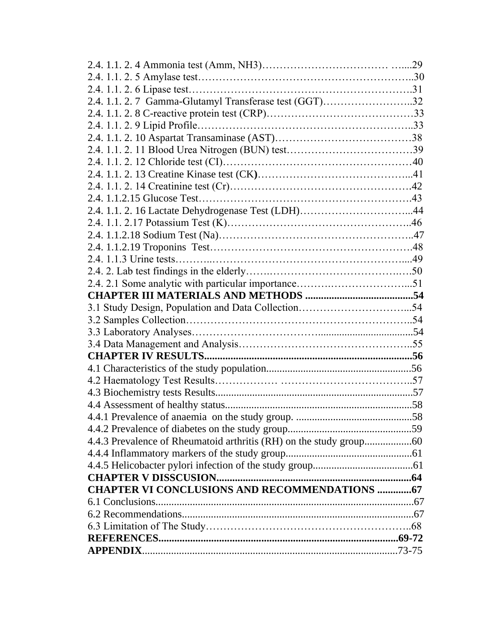| 2.4. 1.1. 2. 7 Gamma-Glutamyl Transferase test (GGT)32 |  |
|--------------------------------------------------------|--|
|                                                        |  |
|                                                        |  |
|                                                        |  |
|                                                        |  |
|                                                        |  |
|                                                        |  |
|                                                        |  |
|                                                        |  |
|                                                        |  |
|                                                        |  |
|                                                        |  |
|                                                        |  |
|                                                        |  |
|                                                        |  |
|                                                        |  |
|                                                        |  |
|                                                        |  |
|                                                        |  |
|                                                        |  |
|                                                        |  |
|                                                        |  |
|                                                        |  |
|                                                        |  |
|                                                        |  |
|                                                        |  |
|                                                        |  |
|                                                        |  |
|                                                        |  |
|                                                        |  |
|                                                        |  |
| <b>CHAPTER V DISSCUSION</b>                            |  |
| <b>CHAPTER VI CONCLUSIONS AND RECOMMENDATIONS  67</b>  |  |
|                                                        |  |
|                                                        |  |
|                                                        |  |
|                                                        |  |
|                                                        |  |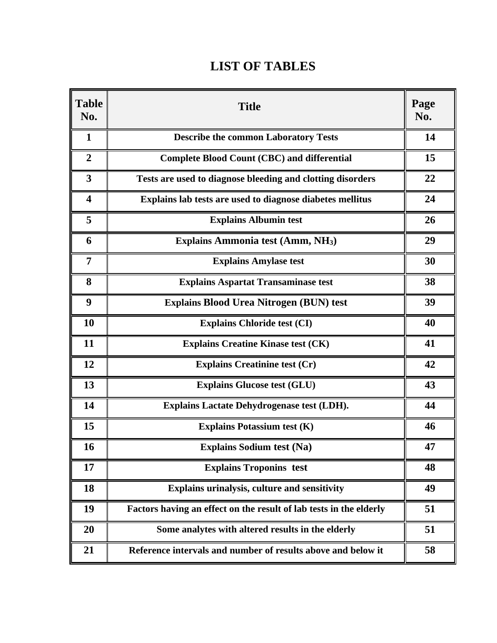## **LIST OF TABLES**

| <b>Table</b><br>No.     | <b>Title</b>                                                       | Page<br>No. |
|-------------------------|--------------------------------------------------------------------|-------------|
| $\mathbf{1}$            | <b>Describe the common Laboratory Tests</b>                        | 14          |
| $\overline{2}$          | <b>Complete Blood Count (CBC) and differential</b>                 | 15          |
| 3                       | Tests are used to diagnose bleeding and clotting disorders         | 22          |
| $\overline{\mathbf{4}}$ | Explains lab tests are used to diagnose diabetes mellitus          | 24          |
| 5                       | <b>Explains Albumin test</b>                                       | 26          |
| 6                       | <b>Explains Ammonia test (Amm, NH3)</b>                            | 29          |
| 7                       | <b>Explains Amylase test</b>                                       | 30          |
| 8                       | <b>Explains Aspartat Transaminase test</b>                         | 38          |
| 9                       | <b>Explains Blood Urea Nitrogen (BUN) test</b>                     | 39          |
| 10                      | <b>Explains Chloride test (CI)</b>                                 | 40          |
| 11                      | <b>Explains Creatine Kinase test (CK)</b>                          | 41          |
| 12                      | <b>Explains Creatinine test (Cr)</b>                               | 42          |
| 13                      | <b>Explains Glucose test (GLU)</b>                                 | 43          |
| 14                      | <b>Explains Lactate Dehydrogenase test (LDH).</b>                  | 44          |
| 15                      | Explains Potassium test $(K)$                                      | 46          |
| 16                      | <b>Explains Sodium test (Na)</b>                                   | 47          |
| 17                      | <b>Explains Troponins test</b>                                     | 48          |
| 18                      | Explains urinalysis, culture and sensitivity                       | 49          |
| 19                      | Factors having an effect on the result of lab tests in the elderly | 51          |
| 20                      | Some analytes with altered results in the elderly                  | 51          |
| 21                      | Reference intervals and number of results above and below it       | 58          |